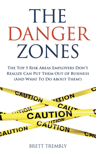# THE DANGER ZONES

THE TOP 5 RISK AREAS EMPLOYERS DON'T **REALIZE CAN PUT THEM OUT OF BUSINESS** (AND WHAT TO DO ABOUT THEM!)



BRETT TREMBLY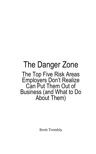### The Danger Zone The Top Five Risk Areas Employers Don't Realize Can Put Them Out of Business (and What to Do About Them)

Brett Trembly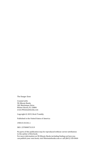The Danger Zone

Created with: 90-Minute Books 302 Martinique Drive Winter Haven, FL 33884 www.90minutebooks.com

Copyright © 2019, Brett Trembly

Published in the United States of America

190415-01341.1

SKU: 2370000731319

No parts of this publication may be reproduced without correct attribution to the author of this book.

For more information on 90-Minute Books including finding out how you can publish your own book, visit 90minutebooks.com or call (863) 318-0464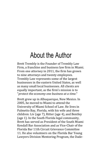# About the Author

Brett Trembly is the Founder of Trembly Law Firm, a franchise and business law firm in Miami. From one attorney in 2011, the firm has grown to nine attorneys and twenty employees. Trembly Law represents some of the largest businesses in the eastern United States, as well as many small local businesses. All clients are equally important, as the firm's mission is to "*protect the economy one business at a time*."

Brett grew up in Albuquerque, New Mexico. In 2005, he moved to Miami to attend the University of Miami School of Law. He lives in Palmetto Bay, Florida, with his wife and three children: Liv (age 7), Ritter (age 4), and Bentley (age 1). In the South Florida legal community, Brett has served as President of the South Miami Kendall Bar Association and as Vice-Chair of the Florida Bar 11th Circuit Grievance Committee 11. He also volunteers on the Florida Bar Young Lawyers Division Mentoring Program, the Dade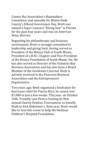County Bar Association's Rainmakers Committee, and annually for Miami-Dade County's Ethical Governance Day. Brett was named a Super Lawyers "Rising Star" in Florida for the past four years and was on *American Ninja Warrior*.

Regarding his philanthropic and business involvement, Brett is strongly committed to leadership and giving back, having served as President of the Rotary Club of South Miami, President of a B.N.I. Chapter, and Vice-President of the Rotary Foundation of South Miami, Inc. He has also served as Director of the Palmetto Bay Business Association and has also been a Board Member of the *Gentlemen's Journal*. Brett is actively involved in the Pinecrest Business Association and the Entrepreneurs' Organization.

Two years ago, Brett organized a fundraiser for hurricane relief for Puerto Rico; he raised over \$7,000 in just a few weeks. This year, on October 10th, Trembly Law Firm is hosting its first annual Charity Domino Tournament, to benefit, Walk to End Alzheimer's. Next year, Brett would like to host this event to help the Nicklaus Children's Hospital Foundation.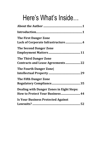# Here's What's Inside…

| <b>The First Danger Zone</b><br>Lack of Corporate Infrastructure4                   |
|-------------------------------------------------------------------------------------|
| <b>The Second Danger Zone</b>                                                       |
| <b>The Third Danger Zone</b><br><b>Contracts and Lease Agreements  22</b>           |
| <b>The Fourth Danger Zone</b>                                                       |
| <b>The Fifth Danger Zone</b>                                                        |
| <b>Dealing with Danger Zones in Eight Steps:</b><br>How to Protect Your Business 44 |
| <b>Is Your Business Protected Against</b>                                           |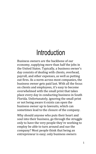# Introduction

Business owners are the backbone of our economy, supplying more than half the jobs in the United States. Typically, a business owner's day consists of dealing with clients, overhead, payroll, and other expenses, as well as putting out fires. As a norm across most companies, the business owner gets paid last. With all the focus on clients and employees, it's easy to become overwhelmed with the small print that takes place every day in conducting business in South Florida. Unfortunately, ignoring the small print or not being aware it exists can open the business owner up to lawsuits, which can sometimes lead to the closure of the company.

Why should anyone who puts their heart and soul into their business, go through the struggle only to have the very people they're working to employ be able to turn around and sue the company? Most people think that being an entrepreneur is easy; only business owners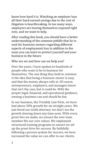know how hard it is. Watching an employer lose all their hard-earned savings due to the cost of litigation is heartbreaking. In too many ways, employers are leaving themselves exposed right now, and we want to help.

After reading this book, you should have a better understanding of the common pitfalls that lie in wait for business owners regarding different aspects of employment loss in addition to the ways you can learn to protect yourself and your business in the future.

#### Who are we and how can we help you?

Over the years, I have spoken to hundreds of people who want to be in business for themselves. The one thing they hold in common is the idea that being a business owner is easy, and that the money always rolls in. Of course, entrepreneurs, employers, and managers know that isn't the case, but it could be. With the proper legal, financial, and operational guidance, owning a business can *and should* be fun.

In our business, the Trembly Law Firm, we have had above 50% growth for six straight years. We just hired our ninth attorney; we don't see the growth slowing down any time soon. With every *great hire* we make, we ensure the new team member fits our core values. We implement structured training programs to ensure we set up the *great hires* for success. By faithfully following a proven system for success, we have increased the value we can offer to our clients.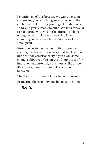I mention all of this because we want the same success for you: a thriving enterprise, with the confidence of knowing your legal foundation is solid, and you're ready to build. We look forward to partnering with you in the future. You have enough on your plate with working in and running your business, let us take care of the small print.

From the bottom of my heart, thank you for reading this book. It's our very first book, and we hope the conversational style gives you some comfort about your business and some ideas for improvement. After all, a business is like a tree; it's either growing or dying. There is no inbetween.

Thanks again and best of luck in your journey.

Protecting the economy one business at a time,

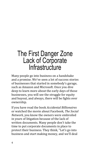### The First Danger Zone Lack of Corporate **Infrastructure**

Many people go into business on a handshake and a promise. We've seen a lot of success stories of businesses that started in somebody's garage, such as Amazon and Microsoft. Once you dive deep to learn more about the early days of those businesses, you will see the struggle for equity and buyout, and always, there will be fights over ownership.

If you have read the book *Accidental Billionaires* or watched the movie about Facebook, *The Social Network*, you know the owners were embroiled in years of litigation because of the lack of written documents. Many people don't take the time to put corporate documents in place to protect their business. They think, "Let's go into business and start making money, and we'll deal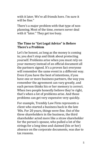with it later. We're all friends here. I'm sure it will be fine."

There's a major problem with that type of nonplanning. Most of the time, owners never deal with it "later." They get too busy.

#### **The Time to "Get Legal Advice" is Before There's a Problem**

Let's be honest, as long as the money is coming in; you don't stop and think about protecting yourself. Problems arise when you must rely on your memory instead of an official document all the partners signed. It's a proven fact everyone will remember the same event in a different way. Even if you have the best of intentions, if you have one or more business partners, the way you remember the agreement can vary greatly, and each person thinks his or her memory is correct. When two people honestly believe they're right, that's when a lot of problems arise. And those problems can get very expensive very quickly.

For example, Trembly Law Firm represents a client who started a business back in the late '80s. For 20 years, things were fine. Out of the three shareholders in the business, the third shareholder acted more like a straw shareholder for the person's spouse, who pulled a lot of the strings for a long time and claimed (his or her) absence on the corporate documents, was due to tax reasons.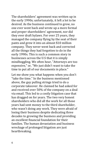The shareholders' agreement was written up in the early 1990s; unfortunately, it left a lot to be desired. As the business continued to grow, no one ever went back and wrote up a more formal and proper shareholders' agreement, nor did they ever draft bylaws. For over 25 years, they managed the company flying by the seat of their pants and grew it into an almost \$10 million company. They never went back and corrected all the things they had forgotten to do in the early 1990s. This is such a common story in businesses across the U.S that it is simply mindboggling. We often hear, "Attorneys are too expensive," or, "We just didn't want to take the time to put all of our documents in place."

Let me show you what happens when you don't "take the time." In the business mentioned above, the guy pulling strings tried to do a corporate takeover. He claimed he had asked for and received over 50% of the company on a deal via email. This led to a costly litigation case that has dragged on for years. The two very honest shareholders who did all the work for all those years had sent money to the third shareholder, who wasn't doing any work. They were afraid of losing their business despite dedicating three decades to growing the business and providing an excellent financial foundation for their families. The human devastation and business wreckage of prolonged litigation are just heartbreaking.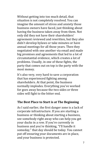Without getting into too much detail, that situation is not completely resolved. You can imagine the amount of stress and anxiety those business owners have faced, just thinking about having the business taken away from them. Not only did they not have their shareholders' agreement reviewed and rewritten, but they also didn't develop bylaws or take minutes or have annual meetings for all those years. Then they negotiated with one another via email and made big promises and agreements that led to a lot of circumstantial evidence, which creates a lot of problems. Usually, in one of these fights, the party that comes out on top is the party with the most money.

It's also very, very hard to save a corporation that has experienced fighting among shareholders. At that point, the business normally implodes. Everything you've worked for goes away because the two sides or three sides will fight to the bitter end.

#### **The Best Place to Start is at The Beginning**

As I said earlier, the first danger zone is a lack of corporate infrastructure. If you are starting a business or thinking about starting a business, see somebody right away who can help you get your ducks in a row. If you're currently in business and you're thinking, "I'll handle it someday," that day should be today. You cannot put off ensuring your documents are in place, and your business is protected.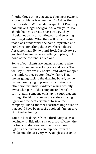Another huge thing that causes business owners, a lot of problems is when their CPA does the incorporation. With all due respect to CPAs, they don't have a legal background. While your CPA should help you create a tax strategy, they should not be incorporating you and selecting your legal entity. What they will do is buy you that black binder with the name imprinted and hand you something that says Shareholders' Agreement and Bylaws and Stock Certificate, so you feel like you have something in place, but none of the content is filled out.

Some of our clients are business owners who have been in business for years and years. They will say, "Here are my books," and when we open the binders, they're completely blank. That means going back to the drawing board, so the owners are trying to prove via tax returns and other circumstantial evidence which actually owns what part of the company and who's in control until someone ends up in court, digging through the Florida corporate statutes trying to figure out the best argument to save the company. That's another heartbreaking situation that could have been easily avoided if taken care of in the beginning.

You can face danger from a third party, such as dealing with litigation risk or dispute. When the partners or shareholders themselves are fighting, the business can implode from the inside out. That's a very, very tough situation to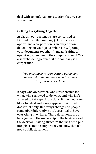deal with, an unfortunate situation that we see all the time.

#### **Getting Everything Together**

As far as your documents are concerned, a Limited Liability Company (LLC) is a great option, and a corporation is an okay option depending on your goals. When I say, "getting your documents together," I mean drafting an operating agreement if the company is an LLC or a shareholder agreement if the company is a corporation.

*You must have your operating agreement or your shareholder agreement in place. It's your business bible.*

It says who owns what, who's responsible for what, who's allowed to do what, and who isn't allowed to take specific actions. It may not seem like a big deal and it may appear obvious who does what daily. But things change and people remember differently, so it's essential to have everything in writing. These documents are a legal guide to the ownership of the business and the decision-making structure that has been put into place. But it's important you know that it's not a public document.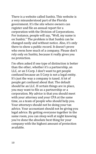There is a website called Sunbiz. This website is a very misunderstood part of the Florida government. It's the site where owners can register and file an annual report for a corporation with the Division of Corporations. For instance, people will say, "Well, my name is on Sunbiz." The problem is that Sunbiz can be changed easily and without notice. Also, it's only there to show a public record. It doesn't prove who owns how much of a company. Please don't rely only on Sunbiz, because it really gives you no protection.

I'm often asked if one type of distinction is better than the other, whether it's a partnership, an LLC, or an S Corp. I don't want to get people confused because an S Corp is not a legal entity. It's just the way a company is taxed. A lot of people get confused about that. The default should be an LLC. If certain things are in place, you may want to file as a partnership or a corporation. My advice is that you should meet with your attorney and your CPA at the same time, as a team of people who should help you. Your attorneys should not be doing your tax advice. Your accountant should not be giving you legal advice. By getting everyone together in the same room, you can sleep well at night knowing you've done the absolute best thing for your company with the highest amount of protection available.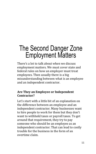# The Second Danger Zone Employment Matters

There's a lot to talk about when we discuss employment matters. We must cover state and federal rules on how an employer must treat employees. Then usually there is a big misunderstanding between what is an employee and an independent contractor.

#### **Are They an Employee or Independent Contractor?**

Let's start with a little bit of an explanation on the difference between an employee and an independent contractor. Many businesses want to hire people to work for them but they don't want to withhold taxes or payroll taxes. To get around that requirement, they try to pay someone who should be an employee as an independent contractor. That can lead to costly trouble for the business in the form of an overtime claim.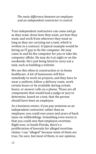*The main difference between an employee and an independent contractor is control.*

True independent contractors can come and go as they want, dress how they want, act how they want, and work from wherever they want so long as they are carrying out a task, which is written in a contract. A typical example would be hiring an IT guy to fix the computer. He may come in and fix the computer for you or take the computer offsite. He may do it at night or on the weekends. He's just being hired to carry out a task, such as building a website.

We see this often in construction or in-home healthcare. A lot of businesses will hire somebody to work on projects, and they have to wear a uniform, follow a delivery route, work certain hours or be available during certain hours, or answer calls on a phone. Those are all components that would lead a judge or jury to determine, based on a test, that the person should have been an employee.

As a business owner, if you pay someone as an independent contractor rather than an employee, you could owe years and years of back taxes on withholdings. Something even worse is that you could owe that employee overtime. Right now, in South Florida, there's a proliferation of lawsuits for alleged overtime claims. I say "alleged" because some of them are true, I'm sure, but most of them, in our opinion,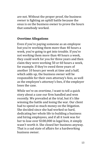are not. Without the proper proof, the business owner is fighting an uphill battle because the onus is on the business owner to prove the hours that somebody worked.

#### **Overtime Allegations**

Even if you're paying someone as an employee but you're working them more than 40 hours a week, you're going to get into trouble. If you're not working them more than 40 hours a week, they could work for you for three years and then claim they were working 50 or 60 hours a week, for example. If they're owed three years of another 10 hours per week at time and a half, which adds up, the business owner will be responsible for their own attorney's fees, as well as the employee's attorney's fees, if the employer loses the case.

While we're on overtime, I want to tell a quick story about a case our firm handled and won recently. We prevailed at the trial, but it's like winning the battle and losing the war. Our client had to spend so much money on the litigation. She decided since she had worked so hard, dedicating her whole life to building a business and hiring employees, and if all it took was for her to lose over \$100,000 in legal fees, it simply wasn't worth it. She closed her business anyway. That is a sad state of affairs for a hardworking business owner.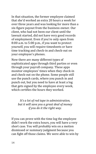In that situation, the former employee claimed that she'd worked an extra 20 hours a week for over three years and was looking for more than a six-figure payout from the business owner. Our client, who had not been our client until the lawsuit started, did not have very good records of employment. Even if you're only open from 8:00 a.m. to 5:00 p.m., if you want to protect yourself, you will require timesheets or have time tracking and check-in and check-out on your employee's phones.

Now there are many different types of sophisticated apps through third parties or even through your payroll company. These apps monitor employees' times when they check-in and check-out on the phone. Some people still use the punch cards, where you punch in and punch out, but you need to have at least a log that gets signed by the employee every week, which certifies the hours they worked.

*It's a lot of red tape in administration, but it will save you a great deal of money if you do it the right way.*

If you can prove with the time log the employee didn't work the extra hours, you will have a very short case. You will probably win on a motion dismissed or summary judgment because you can fight off those claims. We were able to win by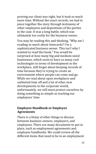proving our client was right, but it took so much more time. Without the exact records, we had to piece together the story through testimony of other employees and depositions of the parties in the case. It was a long battle, which was ultimately too costly for the business owner.

You may be reading this and thinking, "Why am I reading so much about timecards? I'm a sophisticated business owner. This isn't why I wanted to read this book." You would be surprised at how many big and medium-sized businesses, which seem to have so many cool technologies in terms of development in the workplace, still forget about keeping records of time because they're trying to create an environment where people can come and go. While we read about open workplaces and unlimited time off and a lot of other new developments in the corporate world, unfortunately, we still must protect ourselves by doing something as simple as tracking our employees' time.

#### **Employee Handbook or Employee Agreements**

There is a litany of other things to discuss between business owners, employers, and employees. There are many documents to put in place, such as employment agreements and employee handbooks. We could review all the different items that need to be in an employment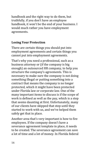handbook and the right way to do them, but truthfully, if you don't have an employee handbook, it won't be the end of your business. I would much rather you have employment agreements.

#### **Losing Your Protection**

There are certain things you should put into employment agreements and certain things you cannot put into employment agreements.

That's why you need a professional, such as a business attorney or (if the company is big enough) an outsourced HR company, to help you structure the company's agreements. This is necessary to make sure the company is not doing something illegal or putting something into a contract that means the company is no longer protected, which it might have been protected under Florida law or corporate law. One of the many important items to discuss is if the scope of work is defined as well as the pay, which is a step that seems daunting at first. Unfortunately, many of our clients have skipped that step until they started to work with us, and we've helped them safely get that in place.

Another area that's very important is how to fire employees. If the company doesn't have a severance agreement template in place, it needs to be created. The severance agreement can save a lot of time and a lot of money. In Florida federal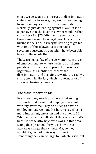court, we've seen a big increase in discrimination claims, with attorneys going around convincing former employees to sue for discrimination. Normally, just defending against a lawsuit is so expensive that the business owner would rather cut a check for \$25,000 than to spend maybe three times as much on legal fees. That's just a business decision. It's very frustrating to get hit with one of those lawsuits. If you had a severance agreement, you might have been able to avoid the whole thing.

Those are just a few of the very important areas of employment law where we help our clients put structures in place to protect themselves. Right now, as I mentioned earlier, the discrimination and overtime lawsuits are really a rising trend in Florida, which is putting a lot of stress on business owners.

#### **The Most Important Task**

Every company needs to have a timekeeping system, to make sure that employees are not working overtime. They also need to have an employment agreement. It's hard to say which is more important; one is 1A and the other is 1B. When most people talk about the agreement, it's because of the attorneys who work in this area. Doing the agreement for you is how these attorneys charge their clients. Maybe they wouldn't go out of their way to mention something they can't charge for, which is sad, but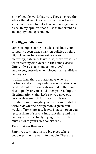a lot of people work that way. They give you the advice that doesn't cost you a penny, other than some man-hours to put a timekeeping system in place. In my opinion, that's just as important as an employment agreement.

#### **The Biggest Mistakes**

Some examples of big mistakes will be if your company doesn't have written policies on time off, sick leave, bereavement leave, or maternity/paternity leave. Also, there are issues when treating employees in the same classes differently, such as management-level employees, entry-level employees, and staff-level employees.

In a law firm, there are attorneys who are partners and attorneys who are associates. You need to treat everyone categorized in the same class equally, or you could open yourself up to a discrimination claim. Let's say you gave one person six weeks off for maternity leave. Unintentionally, maybe you just forgot or didn't write it down; the next person is given four weeks off for maternity leave. That can open you up to a claim. It's a very innocent thing and the employer was probably trying to be nice, but you must enforce your rules consistently.

#### **Termination Dangers**

Employee termination is a big place where people get themselves into trouble. There are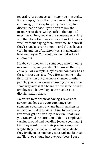federal rules about certain steps you must take. For example, if you fire someone who is over a certain age, it is easy to open yourself up to a discrimination case if you don't follow the proper procedure. Going back to the topic of overtime claims, you can put someone on salary and then have them work more than 40 hours a week without paying them overtime, but only if they're paid a certain amount and if they have a certain amount of autonomy as a managementlevel employee. You could not do that with all employees.

Maybe you need to fire somebody who is young or a minority, and you didn't follow all the steps equally. For example, maybe your company has a three-infraction rule. If you fire someone in the first infraction but give more chances to other people, you're no longer enforcing the rules the same way across the board for the same class of employees. That will open the business to a discrimination claim.

To return to the topic of having a severance agreement, let's say your company gives someone severance pay and has them sign an agreement that they've had time to personally review or get an attorney to review. That way, you can avoid the situation of this ex-employee turning around and deciding (even a year later) that they want to sue their previous employer. Maybe they just had a run of bad luck. Maybe they finally met somebody who had an idea such as, "Hey, you should just sue your boss. I got a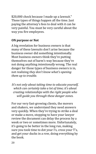\$20,000 check because I made up a lawsuit." Those types of things happen all the time. Just paying the attorney's fees to deal with it can be very painful. You must be very careful about the way you fire employees.

#### **ON purpose or Not**

A big revelation for business owners is that many of these lawsuits don't arise because the business owner did something intentionally. Most business owners think they're putting themselves out of harm's way because they're not doing anything *intentionally* wrong. The real danger for those types of business owners is in, not realizing *they don't know what's opening them up to trouble.*

*It's not only about taking time to educate yourself, which can certainly take a lot of time; it's about creating relationships with the right people who will guide you through these danger zones*.

For our very fast-growing clients, the movers and shakers, we understand they need answers very quickly. When they're trying to strike a deal or make a move, stopping to have your lawyer review the document can delay the process by a week or two or sometimes more. Unfortunately, it's going to be better in the long run, making sure you took time to dot your I's, cross your T's, and get your ducks in a row, doing everything by the book.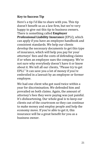#### **Key to Success Tip**

Here's a tip I'd like to share with you. This tip doesn't benefit us as a law firm, but we're very happy to give out this tip to business owners. There is something called **Employer Professional Liability Insurance** (EPLI), which can apply if you have an employee handbook and consistent standards. We help our clients develop the necessary documents to get this type of insurance, which will help you pay for your attorneys' fees and the costs of defending claims if or when an employee sues the company. We're not sure why everybody doesn't have it or know about it. We tell all our clients, "Please try to get EPLI." It can save you a lot of money if you're embroiled in a lawsuit by an employee or former employee.

We had one client who got sued twice within a year for discrimination. We defended him and prevailed on both claims. Again, the amount of attorney's fees they were paying was just painful. It's disheartening. Our whole goal is to keep our clients out of the courtroom so they can continue to make money and employ people and help the economy move. If you're able to get it, this insurance will be a great benefit for you as a business owner.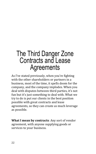## The Third Danger Zone Contracts and Lease **Agreements**

As I've stated previously, when you're fighting with the other shareholders or partners in a business, most of the time, it spells doom for the company, and the company implodes. When you deal with disputes between third parties, it's not fun but it's just something to deal with. What we try to do is put our clients in the best position possible with great contracts and lease agreements, so they can create as much leverage as possible.

**What I mean by contracts**: Any sort of vendor agreement, with anyone supplying goods or services to your business.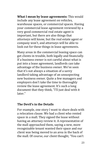**What I mean by lease agreements:** This would include any lease agreement on vehicles, warehouse spaces, or commercial spaces. Having your commercial lease agreement reviewed by a very good commercial real estate agent is important, but there are also things that attorneys will know, but the real estate agent or company won't, and attorneys will be able to look out for these things in lease agreements.

Many areas in the commercial leasing space can get clients in trouble, both legally and financially. If a business owner is not careful about what is put into a lease agreement, landlords can take advantage of the business owner. We've seen that it's not always a situation of a savvy landlord taking advantage of an unsuspecting new business owner. Quite a few managers and employers don't take the time to thoroughly review the lease agreement. It's such a long document that they think, "I'll just deal with it later"

#### **The Devil's in the Details**

For example, one story I want to share deals with a relocation clause. We had a client who rented space in a mall. They signed the lease without having an attorney review it. A representative of the mall approached them, saying a new, more recognizable tenant wanted their space and our client was being moved to an area in the back of the mall. Of course, our client thought, "You can't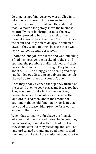do that, it's not fair." Once we were pulled in to take a look at the existing lease we found out that, sure enough, the mall had the right to do that. To make a long story short, the business eventually went bankrupt because the new location proved to be as unrealistic as we thought it would be at the time. The only choice the client had litigation to delay and stall on a lawsuit they would not win, because there was a very clear contractual agreement.

Another client got into a lease and was launching a food business. On the weekend of the grand opening, the plumbing malfunctioned, and their entire place flooded with sewage. They had spent about \$20,000 on a big grand opening and they had handed out discounts and flyers and people showed up to a place that couldn't open.

Once they finally cleaned that up, they turned on the second oven to cook pizza, and it was too hot. They could only make half of the food they needed to serve the whole store, because the landlord misled them about the amount of equipment that could function properly in that space and the lease didn't provide for a way to get out of that space.

When that company didn't have the financial wherewithal to withstand those challenges, they had an oral agreement with the landlord that they could leave, so they picked up and left. The landlord turned around and sued them, locked them out, and kept all the equipment because the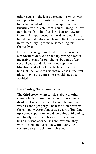other clause in the lease agreement (which was very poor for our clients) was that the landlord had a lien on all of the kitchen equipment and furniture in the restaurant. You can imagine how our clients felt. They faced the bait-and-switch from their experienced landlord, who obviously had done that before, while our clients were new in business, trying to make something for themselves.

By the time we got involved, this scenario had already unfolded. We ended up getting a rather favorable result for our clients, but only after several years and a lot of money spent on litigation, and a lot of heartache and regret. If we had just been able to review the lease in the first place, maybe the entire mess could have been avoided.

#### **Here Today, Gone Tomorrow**

The third story I want to tell is about another client who had a unique hangout, a food-anddrink spot in a fun area of town in Miami that wasn't zoned properly. The lease didn't protect the company. After almost two years of building up a good reputation and developing a following, and finally starting to break even on a monthly basis in terms of expenses and revenue, they were kicked out overnight without any legal recourse to get back into their spot.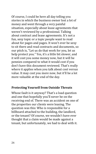Of course, I could be here all day telling you stories in which the business owner lost a lot of money and went through a very painful situation, especially about lease agreements that weren't reviewed by a professional. Talking about contract and lease agreements. It's not a fun, sexy topic or a topic people want to read about for pages and pages. It won't ever be sexy to sit there and read contracts and documents, so our pitch is, "Let us do that work for you, let us help protect you." Yes, it's a little bit slower, and it will cost you some money now, but it will be pennies compared to what it would cost if you don't have this document reviewed. That's really where it applies when you talk about cost versus value. It may cost you more now, but it'll be a lot more valuable at the end of the day.

#### **Protecting Yourself from Outside Threats**

Whose fault is it anyway? That's a load question and one that hopefully you'll never be on the receiving end of. There was an accident on one of the properties our clients were leasing. The question was this: Who is responsible for a billboard attached to the building, the landlord, or the tenant? Of course, we wouldn't have ever thought that a claim would be made against a tenant, but unfortunately, we had to deal with it.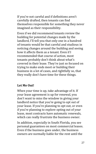If you're not careful and if definitions aren't carefully drafted, then tenants can find themselves responsible for something they never imagined as their responsibility.

Even if we did recommend tenants review the building for potential changes made by the landlord, I'll tell you that only one in a hundred of tenants would be that careful and studious in noticing changes around the building and seeing how it affects them as a tenant. Even if I recommended that course of action, most tenants probably don't think about what's covered in their lease. They're just so focused on trying to make ends meet or building their business in a lot of cases, and rightfully so, that they really don't have time for these things.

#### **Let Me Out!**

When your time is up, take advantage of it. If your lease agreement is up for renewal, you don't want to miss the window in giving your landlord notice that you're going to opt out of your lease. If you're planning to opt out, or even if you're planning to explore opting out of your lease, most contracts have automatic renewals, which can really frustrate the business owner.

In addition, especially in South Florida, you see personal guarantees on most commercial leases. Even if the business goes under, the business owners are normally liable for the rent until the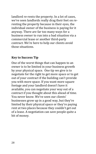landlord re-rents the property. In a lot of cases, we've seen landlords really drag their feet on rerenting the property because in their eyes, the individual owner of the business is paying for it anyway. There are far too many ways for a business owner to run into a bad situation via a commercial lease or another third-party contract. We're here to help our clients avoid those situations.

#### **Key to Success Tip**

One of the worst things that can happen to an owner is to be limited in your business growth by your physical space. One tip we give is to negotiate for the right to get more space or to get out of your contract if the building can't provide you with more space. If you want more square footage and your landlord doesn't have it available, you can negotiate your way out of a contract if you thought about this ahead of time. You never know. We've seen our clients' businesses grow up in a good way, but they're limited by their physical space or they're paying rent at two places because they couldn't get out of a lease. A negotiation can save people quite a bit of money.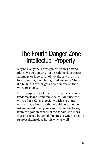# The Fourth Danger Zone Intellectual Property

Maybe everyone, at this point, knows how to identify a trademark, but a trademark protects an image or logo, a set of words, or words in a logo together, from being used wrongly. That is, if a business owner gets a trademark on that word or image.

For example, Coca-Cola obviously has a strong trademark and someone else couldn't use the words Coca-Cola, especially with a red-andwhite image, because that would be trademark infringement. Everyone can imagine big logos, from the golden arches of McDonald's to Pizza Hut or Target, but small business owners need to protect themselves in this way as well.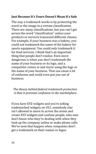#### **Just Because It's Yours Doesn't Mean It's Safe**

The way a trademark works is by protecting the word or the image in a certain classification. There are many classifications, but you can't get across the word "classification" unless your products or services transcend different classes. For example, if your business was a bakery, you could not trademark the name of the bakery for sports equipment. You could only trademark it for food services. I think that's an important thing that people don't realize. Even more dangerous is when you don't trademark the name of your business or its logo, and a competitor comes in and starts using the logo or the name of your business. That can cause a lot of confusion and could even put you out of business.

#### *The theory behind federal trademark protection is that it prevents confusion in the marketplace.*

If you have XYZ widgets and you're selling trademarked widgets on US1, somebody else isn't allowed to move in across the street and create XYZ widgets and confuse people, who now don't know who they're dealing with when they look up the company online or make phone calls. We've seen that happen when companies don't get a trademark on their names or logos.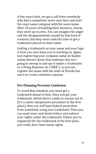A few years back, we got a call from somebody who had a competitor move next door and start the exact same company with the same name. After 10 years of building their business, clearly, they were up in arms. You can imagine the anger and the disappointment caused by that kind of scenario, but they never took the time to get a trademark placed on their name.

Getting a trademark on your name and your logo is how you own what you're working on. Again, just registering your company name on Sunbiz online doesn't mean that someone else isn't going to swoop in and use it under a tradename or a Doing Business As ("DBA"), or just not register the name with the state of Florida but use it to create confusion anyway.

#### **Pre-Planning Prevents Confusion**

To avoid that situation, you must get a trademark ahead of time. Once you get your trademark, which there's really no excuse not to (it's a rather inexpensive procedure in the first place), then you will have federal protection from somebody using your trademark. Then you can send cease-and-desist letters and enforce your rights under the trademark. Unless you've registered for the trademark in the first place, you really don't have many rights.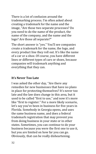There is a lot of confusion around the trademarking process. I'm often asked about creating a trademark for the name and the image, "Are those two separate processes? Do you need to do the name of the product, the name of the company, and the name and the logo? Are those all separate?"

The short answer is "yes." You'll see companies create a trademark for the name, the logo, and every product line they roll out. It's like the name of a car or a shoe. Of course, you have different lines or different types of cars or shoes, because companies will trademark anything and everything that they can.

#### **It's Never Too Late**

I was asked the other day, "Are there any remedies for new businesses that have no plans in place for protecting themselves? It's never too late and the law does change in this area, but it used to be called "first to use," and now it's more like "first to register." For a more likely scenario, let's say you've been in business for five years in Florida. Somebody in Georgia opens, and uses the same business name, and does a federal trademark registration that may prevent you from doing business in your state or in other states. Sometimes, you can continue to do your business because you were the first one to use it, but you are limited on how far you can go. Obviously, that can be really disheartening.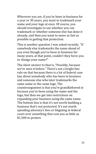Wherever you are, if you've been in business for a year or 30 years, you want to trademark your name and your logo at once. Of course, you should investigate to see whether you can trademark or whether someone else has done it already, and then you want to move as fast as possible in getting that protection.

This is another question I was asked recently. "If somebody else trademarks the name ahead of you even though you've been in business for many years, at that point, couldn't they force you to change your name?"

The short answer to that is, "Possibly, because we've seen it before." There's not a bright line rule on that because there is a lot of federal case law about somebody who has been in business and someone else who later trademarks the same name or the same logo. The counterargument is that you're grandfathered in because you've been using the name and the logo, but then we get into restrictions on expanding your business using the same name. The bottom line is that it's not worth building a business that's not protected. It's not worth spending attorney's fees or litigating in federal court over something that cost you as little as \$1,500 to protect.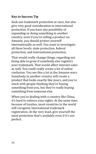#### **Key to Success Tip**

Seek out trademark protection at once, but also give very good consideration to international protection. If you have any possibility of expanding or doing something in another country, even if you're selling a product on Amazon, you should protect yourself internationally as well. You want to investigate all three levels: state protection, federal protection, and international protection.

That would really change things, regarding not being able to grow if somebody else registers your trademark. That would affect internet sales as well. You could really create a lot of online confusion. You see this a lot in the Amazon wars. Somebody in another country will create a product that looks exactly like yours, and you're stuck with people thinking they're buying something from you, but they're really buying something from someone else.

When you're dealing with a country like China, it's hard to enforce your rights. At the same time, because of treaties, most countries in the world will recognize international trademark registration. At the very least, give yourself the most protection that's available even if it's not perfect.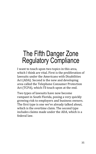# The Fifth Danger Zone Regulatory Compliance

I want to touch upon two topics in this area, which I think are vital. First is the proliferation of lawsuits under the Americans with Disabilities Act (ADA). Second is the new and developing area called the Telephone Consumer Protection Act (TCPA), which I'll touch upon at the end.

Two types of lawsuits have now become rampant in South Florida, posing a very quickly growing risk to employers and business owners. The first type is one we've already talked about, which is the overtime claim. The second type includes claims made under the ADA, which is a federal law.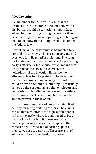#### **ADA Lawsuits**

A claim under the ADA will allege that the premises are not suitable for somebody with a disability. It could be something major like a wheelchair not fitting through a door, or it could be something as small as a parking spot being an inch too narrow than it's supposed to be under the federal law.

A whole new line of lawsuits is being filed by a handful of attorneys, who are suing anyone and everyone for alleged ADA violations. The tough part in defending these lawsuits is the prevailing party's attorneys' fees clause, which means that if any part of the lawsuit is correct, the defendants of the lawsuit will handle the attorneys' fees for the plaintiff. The defendant is the business owner, and usually the landlord, but could be even a tenant of a building. That usually drives up the cost enough so that employers and landlords and building owners want to settle and just stroke a check, even though they may be able to prevail in the lawsuit.

Our firm sees hundreds of lawsuits being filed per day targeting building owners. The claims can be that a counter is too high, a toilet paper roll is not exactly where it's supposed to be, a handrail is a little bit off, there are too few handicap parking spaces, the ramp isn't the correct angle, or the actual parking spaces themselves are too narrow. These are a lot of what seem like rather benign or, more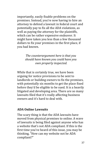importantly, easily fixable problems on the premises. Instead, you're now having to hire an attorney to defend a lawsuit in federal court and potentially pay to fix all the ADA violations, as well as paying the attorney for the plaintiffs, which can be rather expensive endeavor. It might have taken you less than a few thousand dollars to fix your premises in the first place, if you had known.

> *The counterargument here is that you should have known you could have you own property inspected.*

While that is certainly true, we have been arguing for notice provisions to be sent to landlords or building owners to fix the premises, with potentially six months to get the place fixed before they'd be eligible to be sued. It is a heavily litigated and developing area. There are so many lawsuits filed that it's really affecting business owners and it's hard to deal with.

#### **ADA Online Lawsuits**

The scary thing is that the ADA lawsuits have moved from physical premises to online. A wave of lawsuits is being filed against anyone who has a website that's not ADA compliant. If this is the first time you've heard of this issue, you may be thinking, "How can my website not be ADA compliant?"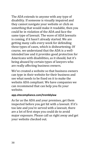The ADA extends to anyone with any type of disability. If someone is visually impaired and they cannot navigate your website or click on something that would make it readable, then you could be in violation of the ADA and face the same type of lawsuit. The wave of ADA lawsuits is coming, if it hasn't already started. We are getting many calls every week for defending these types of cases, which is disheartening. Of course, we understand that the ADA is a wellintended law and it provides good protection for Americans with disabilities, as it should, but it's being abused by certain types of lawyers who are really affecting business owners.

We've created a website so that business owners can type in their website for their business and see what needs to be fixed on it to make the website ADA compliant. We have companies we can recommend that can help you fix your website.

#### **app.sitecompliance.com/tremblylaw**

As far as the ADA and your premises, get them inspected before you get hit with a lawsuit. If it's too late and you're served with a lawsuit, there are a lot of first steps you could do to avoid major exposure. Please call us right away and get your website checked out.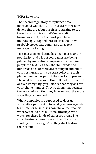#### **TCPA Lawsuits**

The second regulatory compliance area I mentioned was the TCPA. This is a rather new developing area, but our firm is starting to see these lawsuits pick up. We're defending businesses that, for the most part, have unknowingly stepped into an area that they probably never saw coming, such as text message marketing.

Text message marketing has been increasing in popularity, and a lot of companies are being pitched by marketing companies to advertise to people via text. Let's say that hundreds and hundreds of customers are coming in and out of your restaurant, and you start collecting their phone numbers as part of the check-out process. The next time you go to Home Depot or Pizza Hut or even Party City, you'll notice that they ask for your phone number. They're doing that because the more information they have on you, the more ways they can market to you.

What companies are supposed to do is get affirmative permission to send you messages via text. Smaller businesses don't have the financial wherewithal to hire full-time attorneys who watch for these kinds of exposure areas. The small business owner has an idea, "Let's start sending text messages," so they start texting their clients.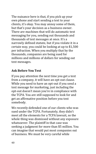The nuisance here is that, if you pick up your own phone and start sending a text to your clients, it's okay. You may annoy some of them, but that's your decision as a business owner. There are machines that will do automatic text messaging for you, sending out thousands and thousands of text messages at once. It's a narrowly defined statute, but if you violate it in a certain way, you could be looking at up to \$1,500 per infraction. When you multiply that by the thousands, companies are being sued for millions and millions of dollars for sending out text messages.

#### **Ask Before You Text**

If you pay attention the next time you get a text from a company, it will have an opt-out clause. While you need to have an opt-out if you send a text message for marketing, just including the opt-out doesn't mean you're in compliance with the TCPA. You are still supposed to look for and get an affirmative position before you text somebody.

We recently defended one of our clients who was sued under the TCPA. Fortunately, they didn't meet all the elements for a TCPA lawsuit, so the whole thing was dismissed without any exposure whatsoever. The plaintiff in that case was seeking a judgment for more than \$5 million. You can imagine that would put most companies out of business. We must be very careful while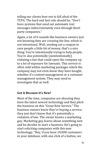telling our clients how not to fall afoul of the TCPA. The hard and fast rule should be, "Don't have systems that send out automatic text messages indiscriminately even through thirdparty companies."

Again, a lot of it sounds like business owners just not knowing they are crossing the line, which is not intentional. Well, sending out a coupon to save people a little bit of money, that's a nice thing. You're intentionally trying to help people. You're also potentially (unintentionally) violating a law that could open the company up to a lot of exposure for lawsuits. This service is often sold within marketing packages which the company may not even know they have bought, whether it's content management or a customer management system. They may need to investigate that as well.

#### **Get it Because it's New!**

Most of the time, companies are shouting they have the latest newest technology and they pitch the business on this "Great New Service." The business owners know they're buying a service; they just don't know that it's potentially a violation of law. The owner knows a marketing guy. Marketing guy learns about something new and he decides to start a business. He's going to start soliciting companies with this new technology: "Hey, if you have 10,000 customers in your database, with one click of a button, we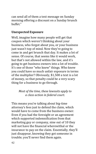can send all of them a text message on Sunday morning offering a discount on a Sunday brunch buffet."

#### **Unexpected Exposure**

Well, imagine how many people will get that coupon which weren't thinking about your business, who forgot about you, or your business just wasn't top of mind. Now they're going to come in and get brunch that day. It makes a lot of sense. Of course, that seems like it would work, but that's not allowed within the law, and it's going to get business owners into a lot of trouble. It's one of those "who knew" things. Who knew you could have so much unfair exposure in terms of the multiplier? Obviously, \$1,500 a text is a lot of money, so that penalty could be a very scary thing for a business to go through.

#### *Most of the time, these lawsuits apply to a class action in federal court.*

This means you're talking about big-time attorney's fees just to defend the claim, which would have to come from the business owner. Even if you had the foresight or an agreement which supported indemnification from that marketing guy or company, nine out of 10 they will not have the financial wherewithal or the insurance to pay on the claim. Essentially, they'll just disappear, knowing they got someone in trouble; you'll never find them again.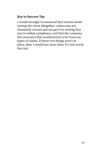#### **Key to Success Tip:**

I would strongly recommend that owners avoid texting the client altogether, unless you are absolutely certain and can get it in writing that you're within compliance and that the company has insurance that would protect you from any types of claims. If those two things aren't in place, then I would just steer clear. It's not worth the risk.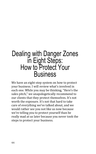### Dealing with Danger Zones in Eight Steps: How to Protect Your **Business**

We have an eight-step system on how to protect your business. I will review what's involved in each one. While you may be thinking, "Here's the sales pitch," we unapologetically recommend to our clients that they protect themselves. It's not worth the exposure. It's not that hard to take care of everything we've talked about, and we would rather see you not like us now because we're telling you to protect yourself than be really mad at us later because you never took the steps to protect your business.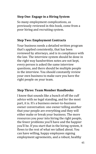#### **Step One**: **Engage in a Hiring System**

So many employment complications, as previously reviewed in this book, come from a poor hiring and recruiting system.

#### **Step Two: Employment Contracts**

Your business needs a detailed written program that's applied consistently, that has been reviewed by attorneys, and is in compliance with the law. The interview system should be done in the right way handwritten notes are not kept, every person is asked the same interview questions, and there should be multiple people in the interview. You should constantly review your own business to make sure you have the right people on your team.

#### **Step Three: Team Member Handbooks**

I know that sounds like a bunch of off the cuff advice with no legal standing, and for the most part, it is. It's a business owner-to-business owner conversation: one owner telling another that your people are everything and they will either make or break your business. The more resources you pour into hiring the right people, the fewer problems you'll have and the happier you'll be. If you start that in the hiring system, it flows to the rest of what we talked about. You can have willing, happy employees signing employment agreements, and a robust, healthy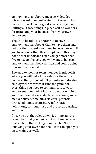employment handbook, and a very detailed infraction enforcement system. In the end, this means you will have a good severance system. Putting all those things in place will do wonders for protecting your business from your own employees.

The truth be told, it's better not to have employment handbooks than to have them and not use them or enforce them, believe it or not. If you have fewer than three employees, this may not be that important. Once you get more than five or six employees, you will want to have an employment handbook written and you're going to want to enforce it.

The employment or team member handbook is where you will put all the rules for the entire business that you wouldn't put into an individual employment contract. It runs the gamut of everything you need to communicate to your employees about what it takes to work within your business: dress code, business hours, social media policies, time off, sick leave, potential protected items, proprietary information definitions, computer use and protocol, parking, and so on.

Once you put the rules down, it's important to remember that you must stick to them because that's where the sticking point can be. Not following your own handbook, that can open you up to claims as well.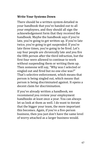#### **Write Your Systems Down**

There should be a written system detailed in your handbook that you've handed out to all your employees, and they should all sign the acknowledgement form that they received the handbook. Maybe the handbook says if you're late, you're going to get written up. If you're late twice, you're going to get suspended. If you're late three times, you're going to be fired. Let's say four people are chronically late and you fire the fifth person after the third infraction, but the first four were allowed to continue to work without suspending them or writing them up. Then someone will say, "Why was I selected or singled out and fired but no one else was?" That's selective enforcement, which means that person is being singled out, which means that person is being discriminated against. It opens a decent claim for discrimination.

If you've already written a handbook, we recommend you review your employment handbooks at least once a year. You can always let us look at them as well. I do want to iterate that the bigger your team, the more important this becomes. Again, if you're a five-person business, then you just don't have the same level of worry attached as a larger business would.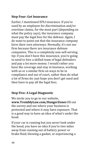#### **Step Four: Get Insurance**

Earlier, I mentioned EPLI insurance. If you're sued by an employee for discrimination and/or overtime claims, for the most part (depending on what the policy says), the insurance company must pay the legal fees for the defense. Again, I do want to point out that the insurance company hires their own attorneys. Normally, it's not our firm because there are insurance defense companies. This is a completely non-self-serving tip: if you don't have this insurance, you're going to need to hire a skilled team of legal defenders and pay a lot more money. I would rather you have the coverage and stay in business, working with us or a similar firm on ways to be in compliance and out of court, rather than do what a lot of firms do: just hope you don't get sued and then have to pay all the legal fees.

#### **Step Five: A Legal Diagnostic**

We invite you to go to our website, **www.TremblyLaw.com/DangerZones** fill out the survey and see where your business is protected and where it may have exposure. That is a good way to have an idea of what's under the hood.

If your car is running but you never look under the hood, you have no idea if you're two miles away from running out of battery power or brake fluid, blowing a gasket, or experiencing a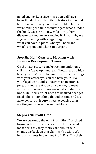failed engine. Let's face it; we don't all have beautiful dashboards with indicators that would let us know of every potential trouble. Unless we're taking the time to investigate what's under the hood, we can be a few miles away from disaster without even knowing it. That's why we suggest starting with a legal diagnostic to see what you have in place, what you need and what's urgent and what's not urgent.

#### **Step Six: Hold Quarterly Meetings with Business Development Teams**

On the sixth step, we make recommendations. I call this a "development team" because, on a high level, you don't need to limit this to just meetings with your attorneys. You can have your CPA, your legal team, and sometimes an insurance program representative or a banker, to meet with you quarterly to review what's under the hood. Make sure what needs to be fixed does get fixed. This is something that takes time and it's an expense, but it sure is less expensive than waiting until the whole engine blows.

#### **Step Seven: Profit First**

We are currently the only Profit First™ certified business law firm in the state of Florida. While most firms say they really care about their clients, we back up that claim with action. We help our clients implement Profit First™ in their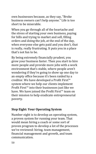own businesses because, as they say, "Broke business owners can't help anyone." Life is too short to be miserable.

When you go through all of the heartache and the stress of starting your own business, paying for bills and trying to market and sell, filling orders and doing the job, at the end of the day, when everyone else gets paid and you don't, that is really, really frustrating. It puts you in a place that's not fun to be.

By being extremely financially prudent, you grow your business faster. Then you start to hire more people and provide more jobs with a work environment that's stable, where people aren't wondering if they're going to show up one day to an empty office because it's been raided by a creditor. We have developed a Profit First™ system where we help our clients implement Profit First™ into their businesses just like we have. We have joined the Profit First™ team on their mission to help eradicate entrepreneurial poverty.

#### **Step Eight: Your Operating System**

Number eight is to develop an operating system, a proven system for running your team. That would mean hiring a coach or some sort of proven program to develop a lot of the processes we've reviewed: hiring, team management, financial management and growth, and team communication.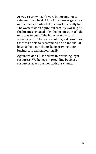As you're growing, it's very important not to reinvent the wheel. A lot of businesses get stuck on the hamster wheel of just working really hard. The owners don't figure out that, by working *on* the business instead of *in* the business, that's the only way to get off the hamster wheel and actually grow. There are a lot of great resources that we're able to recommend on an individual basis to help our clients keep growing their business, speaking non-legally.

Again, we don't just believe in providing legal resources. We believe in providing business resources as we partner with our clients.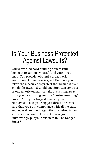# Is Your Business Protected Against Lawsuits?

You've worked hard building a successful business to support yourself and your loved ones. You provide jobs and a great work environment. Business is good. But have you taken the measures to protect that business from avoidable lawsuits? Could one forgotten contract or one unwritten manual take everything away from you by exposing you to a "business-ending" lawsuit? Are your biggest assets – your employees – also your biggest threat? Are you sure that you're in compliance with all the state and federal laws and regulations required to run a business in South Florida? Or have you unknowingly put your business in .The Danger Zones?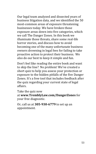Our legal team analyzed and dissected years of business litigation data, and we identified the 50 most-common areas of exposure threatening businesses today. We have broken those exposure areas down into five categories, which we call The Danger Zones. In this book we illuminate those threats, share some real-life horror stories, and discuss how to avoid becoming one of the many unfortunate business owners drowning in legal fees for failing to take proactive action to protect their business. We also do our best to keep it simple and fun.

Don't feel like reading the entire book and want to skip the line? No problem! We've created a short quiz to help you assess your protection or exposure to the hidden pitfalls of the five Danger Zones. It's a free tool that includes feedback after the quiz regarding your current state of legal affairs.

Take the quiz now

at **www.TremblyLaw.com/DangerZones** for your free diagnostic.

Or, call us at **305-930-6779** to set up an appointment.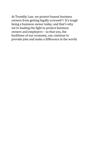At Trembly Law, we protect honest business owners from getting legally screwed™. It's tough being a business owner today, and that's why we're leading the fight to protect business owners and employers – so that you, the backbone of our economy, can continue to provide jobs and make a difference in the world.